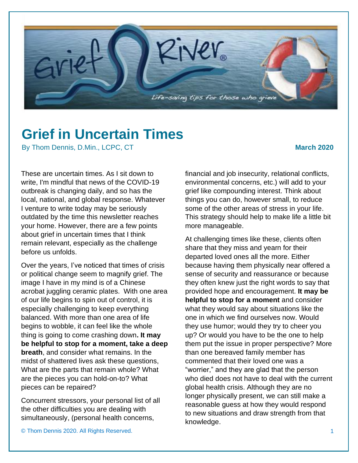

## **Grief in Uncertain Times**

By Thom Dennis, D.Min., LCPC, CT **March 2020** March 2020

These are uncertain times. As I sit down to write, I'm mindful that news of the COVID-19 outbreak is changing daily, and so has the local, national, and global response. Whatever I venture to write today may be seriously outdated by the time this newsletter reaches your home. However, there are a few points about grief in uncertain times that I think remain relevant, especially as the challenge before us unfolds.

Over the years, I've noticed that times of crisis or political change seem to magnify grief. The image I have in my mind is of a Chinese acrobat juggling ceramic plates. With one area of our life begins to spin out of control, it is especially challenging to keep everything balanced. With more than one area of life begins to wobble, it can feel like the whole thing is going to come crashing down**. It may be helpful to stop for a moment, take a deep breath**, and consider what remains. In the midst of shattered lives ask these questions, What are the parts that remain whole? What are the pieces you can hold-on-to? What pieces can be repaired?

Concurrent stressors, your personal list of all the other difficulties you are dealing with simultaneously, (personal health concerns,

financial and job insecurity, relational conflicts, environmental concerns, etc.) will add to your grief like compounding interest. Think about things you can do, however small, to reduce some of the other areas of stress in your life. This strategy should help to make life a little bit more manageable.

At challenging times like these, clients often share that they miss and yearn for their departed loved ones all the more. Either because having them physically near offered a sense of security and reassurance or because they often knew just the right words to say that provided hope and encouragement. **It may be helpful to stop for a moment** and consider what they would say about situations like the one in which we find ourselves now. Would they use humor; would they try to cheer you up? Or would you have to be the one to help them put the issue in proper perspective? More than one bereaved family member has commented that their loved one was a "worrier," and they are glad that the person who died does not have to deal with the current global health crisis. Although they are no longer physically present, we can still make a reasonable guess at how they would respond to new situations and draw strength from that knowledge.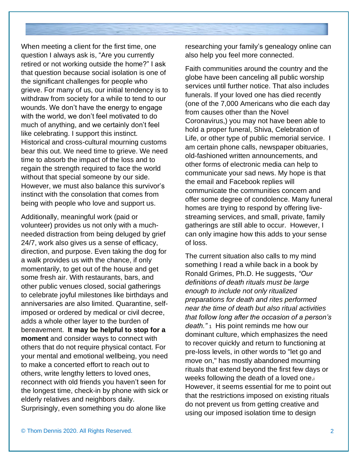When meeting a client for the first time, one question I always ask is, "Are you currently retired or not working outside the home?" I ask that question because social isolation is one of the significant challenges for people who grieve. For many of us, our initial tendency is to withdraw from society for a while to tend to our wounds. We don't have the energy to engage with the world, we don't feel motivated to do much of anything, and we certainly don't feel like celebrating. I support this instinct. Historical and cross-cultural mourning customs bear this out. We need time to grieve. We need time to absorb the impact of the loss and to regain the strength required to face the world without that special someone by our side. However, we must also balance this survivor's instinct with the consolation that comes from being with people who love and support us.

Additionally, meaningful work (paid or volunteer) provides us not only with a muchneeded distraction from being deluged by grief 24/7, work also gives us a sense of efficacy, direction, and purpose. Even taking the dog for a walk provides us with the chance, if only momentarily, to get out of the house and get some fresh air. With restaurants, bars, and other public venues closed, social gatherings to celebrate joyful milestones like birthdays and anniversaries are also limited. Quarantine, selfimposed or ordered by medical or civil decree, adds a whole other layer to the burden of bereavement. **It may be helpful to stop for a moment** and consider ways to connect with others that do not require physical contact. For your mental and emotional wellbeing, you need to make a concerted effort to reach out to others, write lengthy letters to loved ones, reconnect with old friends you haven't seen for the longest time, check-in by phone with sick or elderly relatives and neighbors daily. Surprisingly, even something you do alone like

researching your family's genealogy online can also help you feel more connected.

Faith communities around the country and the globe have been canceling all public worship services until further notice. That also includes funerals. If your loved one has died recently (one of the 7,000 Americans who die each day from causes other than the Novel Coronavirus,) you may not have been able to hold a proper funeral, Shiva, Celebration of Life, or other type of public memorial service. I am certain phone calls, newspaper obituaries, old-fashioned written announcements, and other forms of electronic media can help to communicate your sad news. My hope is that the email and Facebook replies will communicate the communities concern and offer some degree of condolence. Many funeral homes are trying to respond by offering livestreaming services, and small, private, family gatherings are still able to occur. However, I can only imagine how this adds to your sense of loss.

The current situation also calls to my mind something I read a while back in a book by Ronald Grimes, Ph.D. He suggests, *"Our definitions of death rituals must be large enough to include not only ritualized preparations for death and rites performed near the time of death but also ritual activities that follow long after the occasion of a person's death."* <sup>1</sup>His point reminds me how our dominant culture, which emphasizes the need to recover quickly and return to functioning at pre-loss levels, in other words to "let go and move on," has mostly abandoned mourning rituals that extend beyond the first few days or weeks following the death of a loved one.<sup>i</sup> However, it seems essential for me to point out that the restrictions imposed on existing rituals do not prevent us from getting creative and using our imposed isolation time to design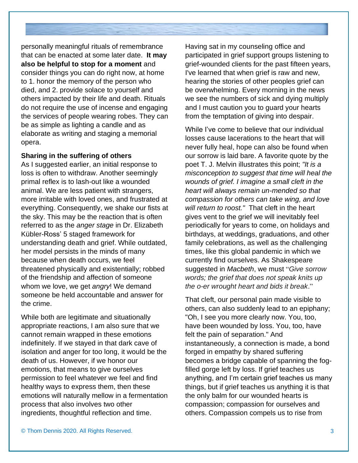personally meaningful rituals of remembrance that can be enacted at some later date. **It may also be helpful to stop for a moment** and consider things you can do right now, at home to 1. honor the memory of the person who died, and 2. provide solace to yourself and others impacted by their life and death. Rituals do not require the use of incense and engaging the services of people wearing robes. They can be as simple as lighting a candle and as elaborate as writing and staging a memorial opera.

## **Sharing in the suffering of others**

As I suggested earlier, an initial response to loss is often to withdraw. Another seemingly primal reflex is to lash-out like a wounded animal. We are less patient with strangers, more irritable with loved ones, and frustrated at everything. Consequently, we shake our fists at the sky. This may be the reaction that is often referred to as the *anger stage* in Dr. Elizabeth Kübler-Ross' 5 staged framework for understanding death and grief. While outdated, her model persists in the minds of many because when death occurs, we feel threatened physically and existentially; robbed of the friendship and affection of someone whom we love, we get *angry*! We demand someone be held accountable and answer for the crime.

While both are legitimate and situationally appropriate reactions, I am also sure that we cannot remain wrapped in these emotions indefinitely. If we stayed in that dark cave of isolation and anger for too long, it would be the death of us. However, if we honor our emotions, that means to give ourselves permission to feel whatever we feel and find healthy ways to express them, then these emotions will naturally mellow in a fermentation process that also involves two other ingredients, thoughtful reflection and time.

Having sat in my counseling office and participated in grief support groups listening to grief-wounded clients for the past fifteen years, I've learned that when grief is raw and new, hearing the stories of other peoples grief can be overwhelming. Every morning in the news we see the numbers of sick and dying multiply and I must caution you to guard your hearts from the temptation of giving into despair.

While I've come to believe that our individual losses cause lacerations to the heart that will never fully heal, hope can also be found when our sorrow is laid bare. A favorite quote by the poet T. J. Melvin illustrates this point; *"It is a misconception to suggest that time will heal the wounds of grief. I imagine a small cleft in the heart will always remain un-mended so that compassion for others can take wing, and love will return to roost."* That cleft in the heart gives vent to the grief we will inevitably feel periodically for years to come, on holidays and birthdays, at weddings, graduations, and other family celebrations, as well as the challenging times, like this global pandemic in which we currently find ourselves. As Shakespeare suggested in *Macbeth*, we must "*Give sorrow words; the grief that does not speak knits up the o-er wrought heart and bids it break*."

That cleft, our personal pain made visible to others, can also suddenly lead to an epiphany; "Oh, I see you more clearly now. You, too, have been wounded by loss. You, too, have felt the pain of separation." And instantaneously, a connection is made, a bond forged in empathy by shared suffering becomes a bridge capable of spanning the fogfilled gorge left by loss. If grief teaches us anything, and I'm certain grief teaches us many things, but if grief teaches us anything it is that the only balm for our wounded hearts is compassion; compassion for ourselves and others. Compassion compels us to rise from